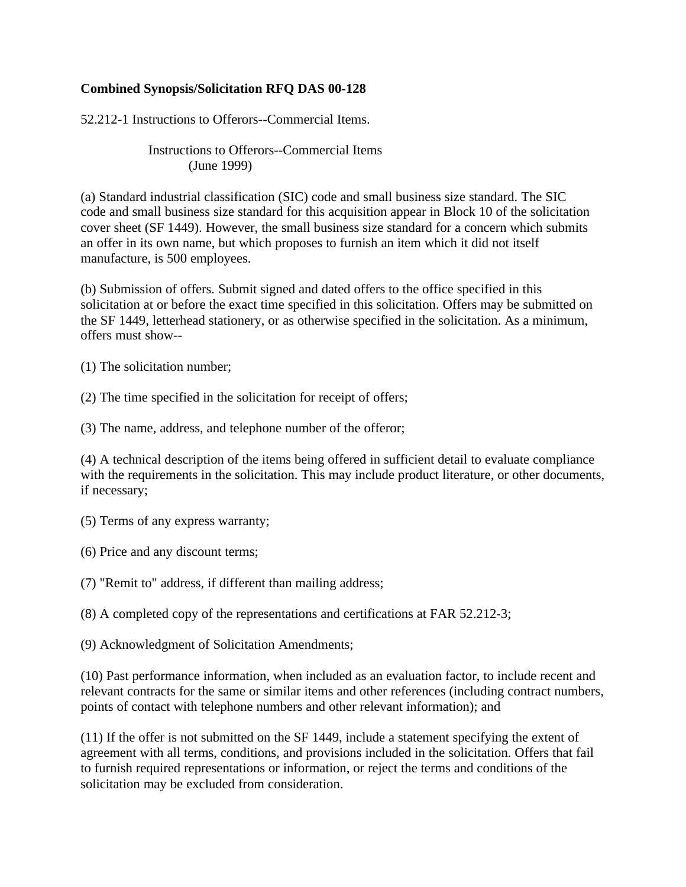## **Combined Synopsis/Solicitation RFQ DAS 00-128**

52.212-1 Instructions to Offerors--Commercial Items.

 Instructions to Offerors--Commercial Items (June 1999)

(a) Standard industrial classification (SIC) code and small business size standard. The SIC code and small business size standard for this acquisition appear in Block 10 of the solicitation cover sheet (SF 1449). However, the small business size standard for a concern which submits an offer in its own name, but which proposes to furnish an item which it did not itself manufacture, is 500 employees.

(b) Submission of offers. Submit signed and dated offers to the office specified in this solicitation at or before the exact time specified in this solicitation. Offers may be submitted on the SF 1449, letterhead stationery, or as otherwise specified in the solicitation. As a minimum, offers must show--

(1) The solicitation number;

(2) The time specified in the solicitation for receipt of offers;

(3) The name, address, and telephone number of the offeror;

(4) A technical description of the items being offered in sufficient detail to evaluate compliance with the requirements in the solicitation. This may include product literature, or other documents, if necessary;

(5) Terms of any express warranty;

(6) Price and any discount terms;

(7) "Remit to" address, if different than mailing address;

(8) A completed copy of the representations and certifications at FAR 52.212-3;

(9) Acknowledgment of Solicitation Amendments;

(10) Past performance information, when included as an evaluation factor, to include recent and relevant contracts for the same or similar items and other references (including contract numbers, points of contact with telephone numbers and other relevant information); and

(11) If the offer is not submitted on the SF 1449, include a statement specifying the extent of agreement with all terms, conditions, and provisions included in the solicitation. Offers that fail to furnish required representations or information, or reject the terms and conditions of the solicitation may be excluded from consideration.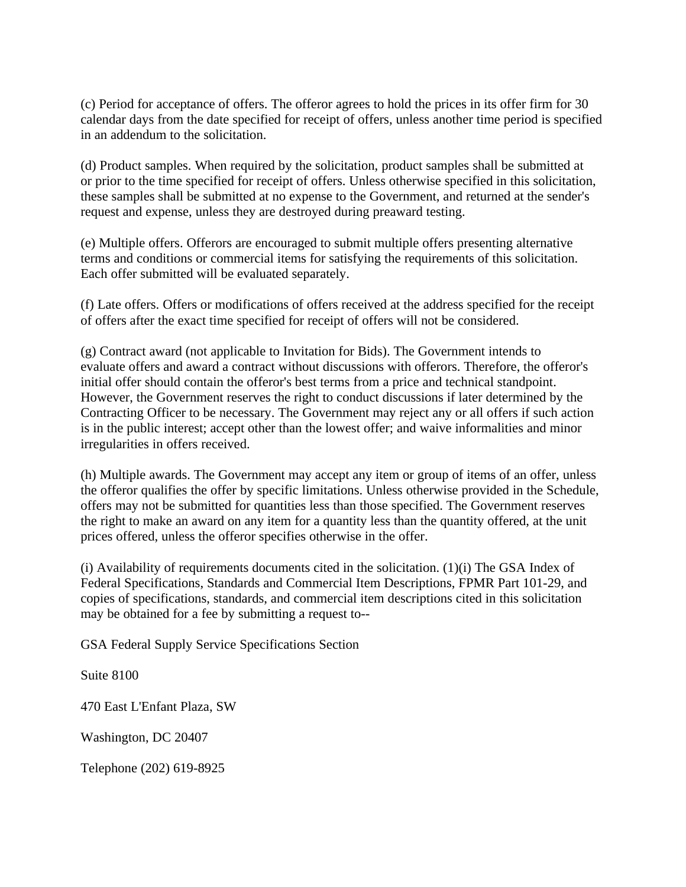(c) Period for acceptance of offers. The offeror agrees to hold the prices in its offer firm for 30 calendar days from the date specified for receipt of offers, unless another time period is specified in an addendum to the solicitation.

(d) Product samples. When required by the solicitation, product samples shall be submitted at or prior to the time specified for receipt of offers. Unless otherwise specified in this solicitation, these samples shall be submitted at no expense to the Government, and returned at the sender's request and expense, unless they are destroyed during preaward testing.

(e) Multiple offers. Offerors are encouraged to submit multiple offers presenting alternative terms and conditions or commercial items for satisfying the requirements of this solicitation. Each offer submitted will be evaluated separately.

(f) Late offers. Offers or modifications of offers received at the address specified for the receipt of offers after the exact time specified for receipt of offers will not be considered.

(g) Contract award (not applicable to Invitation for Bids). The Government intends to evaluate offers and award a contract without discussions with offerors. Therefore, the offeror's initial offer should contain the offeror's best terms from a price and technical standpoint. However, the Government reserves the right to conduct discussions if later determined by the Contracting Officer to be necessary. The Government may reject any or all offers if such action is in the public interest; accept other than the lowest offer; and waive informalities and minor irregularities in offers received.

(h) Multiple awards. The Government may accept any item or group of items of an offer, unless the offeror qualifies the offer by specific limitations. Unless otherwise provided in the Schedule, offers may not be submitted for quantities less than those specified. The Government reserves the right to make an award on any item for a quantity less than the quantity offered, at the unit prices offered, unless the offeror specifies otherwise in the offer.

 $(i)$  Availability of requirements documents cited in the solicitation.  $(1)(i)$  The GSA Index of Federal Specifications, Standards and Commercial Item Descriptions, FPMR Part 101-29, and copies of specifications, standards, and commercial item descriptions cited in this solicitation may be obtained for a fee by submitting a request to--

GSA Federal Supply Service Specifications Section

Suite 8100

470 East L'Enfant Plaza, SW

Washington, DC 20407

Telephone (202) 619-8925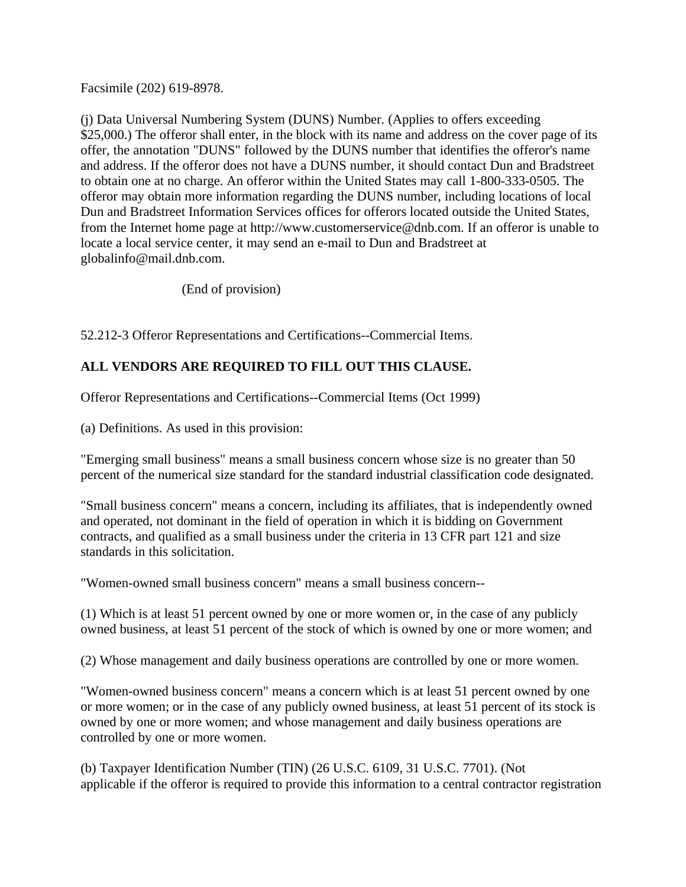Facsimile (202) 619-8978.

(j) Data Universal Numbering System (DUNS) Number. (Applies to offers exceeding \$25,000.) The offeror shall enter, in the block with its name and address on the cover page of its offer, the annotation "DUNS" followed by the DUNS number that identifies the offeror's name and address. If the offeror does not have a DUNS number, it should contact Dun and Bradstreet to obtain one at no charge. An offeror within the United States may call 1-800-333-0505. The offeror may obtain more information regarding the DUNS number, including locations of local Dun and Bradstreet Information Services offices for offerors located outside the United States, from the Internet home page at http://www.customerservice@dnb.com. If an offeror is unable to locate a local service center, it may send an e-mail to Dun and Bradstreet at globalinfo@mail.dnb.com.

(End of provision)

52.212-3 Offeror Representations and Certifications--Commercial Items.

## **ALL VENDORS ARE REQUIRED TO FILL OUT THIS CLAUSE.**

Offeror Representations and Certifications--Commercial Items (Oct 1999)

(a) Definitions. As used in this provision:

"Emerging small business" means a small business concern whose size is no greater than 50 percent of the numerical size standard for the standard industrial classification code designated.

"Small business concern" means a concern, including its affiliates, that is independently owned and operated, not dominant in the field of operation in which it is bidding on Government contracts, and qualified as a small business under the criteria in 13 CFR part 121 and size standards in this solicitation.

"Women-owned small business concern" means a small business concern--

(1) Which is at least 51 percent owned by one or more women or, in the case of any publicly owned business, at least 51 percent of the stock of which is owned by one or more women; and

(2) Whose management and daily business operations are controlled by one or more women.

"Women-owned business concern" means a concern which is at least 51 percent owned by one or more women; or in the case of any publicly owned business, at least 51 percent of its stock is owned by one or more women; and whose management and daily business operations are controlled by one or more women.

(b) Taxpayer Identification Number (TIN) (26 U.S.C. 6109, 31 U.S.C. 7701). (Not applicable if the offeror is required to provide this information to a central contractor registration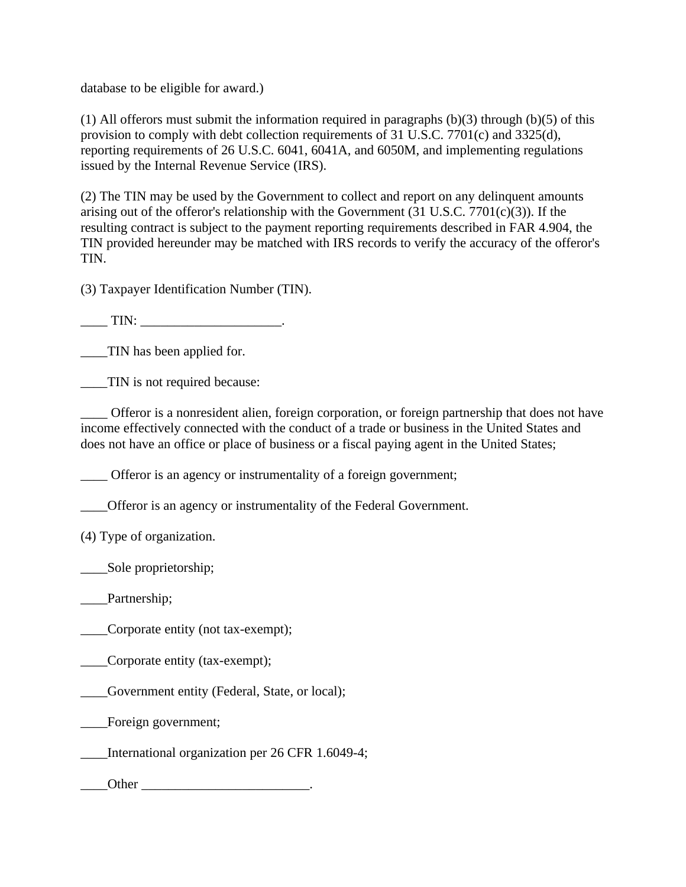database to be eligible for award.)

(1) All offerors must submit the information required in paragraphs (b)(3) through (b)(5) of this provision to comply with debt collection requirements of 31 U.S.C. 7701(c) and 3325(d), reporting requirements of 26 U.S.C. 6041, 6041A, and 6050M, and implementing regulations issued by the Internal Revenue Service (IRS).

(2) The TIN may be used by the Government to collect and report on any delinquent amounts arising out of the offeror's relationship with the Government  $(31 \text{ U.S.C. } 7701(c)(3))$ . If the resulting contract is subject to the payment reporting requirements described in FAR 4.904, the TIN provided hereunder may be matched with IRS records to verify the accuracy of the offeror's TIN.

(3) Taxpayer Identification Number (TIN).

 $\begin{array}{ccc} \text{TIN:} \end{array}$ 

TIN has been applied for.

\_\_\_\_TIN is not required because:

\_\_\_\_ Offeror is a nonresident alien, foreign corporation, or foreign partnership that does not have income effectively connected with the conduct of a trade or business in the United States and does not have an office or place of business or a fiscal paying agent in the United States;

\_\_\_\_ Offeror is an agency or instrumentality of a foreign government;

\_\_\_\_Offeror is an agency or instrumentality of the Federal Government.

(4) Type of organization.

Sole proprietorship;

Partnership;

\_\_\_\_Corporate entity (not tax-exempt);

\_\_\_\_Corporate entity (tax-exempt);

Government entity (Federal, State, or local);

Foreign government;

International organization per 26 CFR 1.6049-4;

\_\_\_\_Other \_\_\_\_\_\_\_\_\_\_\_\_\_\_\_\_\_\_\_\_\_\_\_\_\_.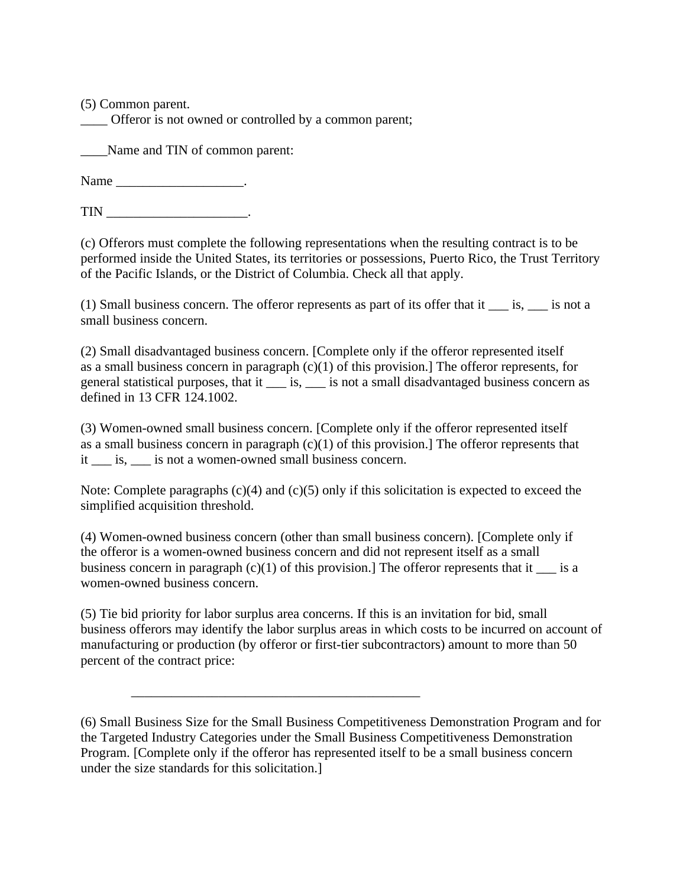(5) Common parent.

Offeror is not owned or controlled by a common parent;

Name and TIN of common parent:

Name \_\_\_\_\_\_\_\_\_\_\_\_\_\_\_\_\_\_\_\_\_\_\_\_\_\_\_.

TIN \_\_\_\_\_\_\_\_\_\_\_\_\_\_\_\_\_\_\_\_\_.

(c) Offerors must complete the following representations when the resulting contract is to be performed inside the United States, its territories or possessions, Puerto Rico, the Trust Territory of the Pacific Islands, or the District of Columbia. Check all that apply.

(1) Small business concern. The offeror represents as part of its offer that it \_\_\_ is, \_\_\_ is not a small business concern.

(2) Small disadvantaged business concern. [Complete only if the offeror represented itself as a small business concern in paragraph  $(c)(1)$  of this provision.] The offeror represents, for general statistical purposes, that it \_\_\_ is, \_\_\_ is not a small disadvantaged business concern as defined in 13 CFR 124.1002.

(3) Women-owned small business concern. [Complete only if the offeror represented itself as a small business concern in paragraph  $(c)(1)$  of this provision.] The offeror represents that it \_\_\_ is, \_\_\_ is not a women-owned small business concern.

Note: Complete paragraphs  $(c)(4)$  and  $(c)(5)$  only if this solicitation is expected to exceed the simplified acquisition threshold.

(4) Women-owned business concern (other than small business concern). [Complete only if the offeror is a women-owned business concern and did not represent itself as a small business concern in paragraph  $(c)(1)$  of this provision. The offeror represents that it is a women-owned business concern.

(5) Tie bid priority for labor surplus area concerns. If this is an invitation for bid, small business offerors may identify the labor surplus areas in which costs to be incurred on account of manufacturing or production (by offeror or first-tier subcontractors) amount to more than 50 percent of the contract price:

(6) Small Business Size for the Small Business Competitiveness Demonstration Program and for the Targeted Industry Categories under the Small Business Competitiveness Demonstration Program. [Complete only if the offeror has represented itself to be a small business concern under the size standards for this solicitation.]

\_\_\_\_\_\_\_\_\_\_\_\_\_\_\_\_\_\_\_\_\_\_\_\_\_\_\_\_\_\_\_\_\_\_\_\_\_\_\_\_\_\_\_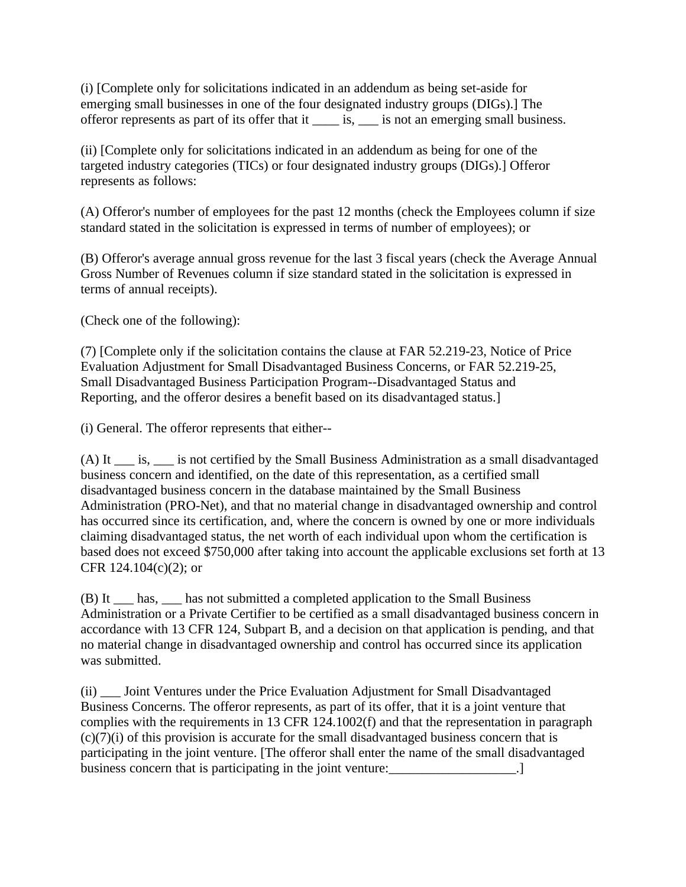(i) [Complete only for solicitations indicated in an addendum as being set-aside for emerging small businesses in one of the four designated industry groups (DIGs).] The offeror represents as part of its offer that it \_\_\_\_ is, \_\_\_ is not an emerging small business.

(ii) [Complete only for solicitations indicated in an addendum as being for one of the targeted industry categories (TICs) or four designated industry groups (DIGs).] Offeror represents as follows:

(A) Offeror's number of employees for the past 12 months (check the Employees column if size standard stated in the solicitation is expressed in terms of number of employees); or

(B) Offeror's average annual gross revenue for the last 3 fiscal years (check the Average Annual Gross Number of Revenues column if size standard stated in the solicitation is expressed in terms of annual receipts).

(Check one of the following):

(7) [Complete only if the solicitation contains the clause at FAR 52.219-23, Notice of Price Evaluation Adjustment for Small Disadvantaged Business Concerns, or FAR 52.219-25, Small Disadvantaged Business Participation Program--Disadvantaged Status and Reporting, and the offeror desires a benefit based on its disadvantaged status.]

(i) General. The offeror represents that either--

(A) It \_\_\_ is, \_\_\_ is not certified by the Small Business Administration as a small disadvantaged business concern and identified, on the date of this representation, as a certified small disadvantaged business concern in the database maintained by the Small Business Administration (PRO-Net), and that no material change in disadvantaged ownership and control has occurred since its certification, and, where the concern is owned by one or more individuals claiming disadvantaged status, the net worth of each individual upon whom the certification is based does not exceed \$750,000 after taking into account the applicable exclusions set forth at 13 CFR 124.104(c)(2); or

(B) It \_\_\_ has, \_\_\_ has not submitted a completed application to the Small Business Administration or a Private Certifier to be certified as a small disadvantaged business concern in accordance with 13 CFR 124, Subpart B, and a decision on that application is pending, and that no material change in disadvantaged ownership and control has occurred since its application was submitted.

(ii) \_\_\_ Joint Ventures under the Price Evaluation Adjustment for Small Disadvantaged Business Concerns. The offeror represents, as part of its offer, that it is a joint venture that complies with the requirements in 13 CFR 124.1002(f) and that the representation in paragraph (c)(7)(i) of this provision is accurate for the small disadvantaged business concern that is participating in the joint venture. [The offeror shall enter the name of the small disadvantaged business concern that is participating in the joint venture: \_\_\_\_\_\_\_\_\_\_\_\_\_\_\_\_\_\_\_.]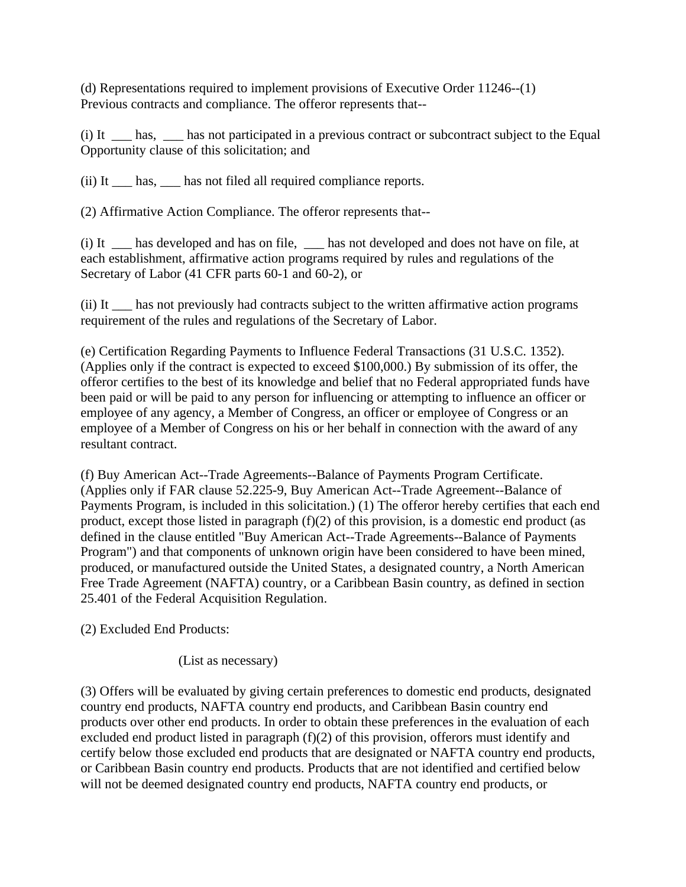(d) Representations required to implement provisions of Executive Order 11246--(1) Previous contracts and compliance. The offeror represents that--

(i) It \_\_\_ has, \_\_\_ has not participated in a previous contract or subcontract subject to the Equal Opportunity clause of this solicitation; and

(ii) It \_\_\_ has, \_\_\_ has not filed all required compliance reports.

(2) Affirmative Action Compliance. The offeror represents that--

(i) It \_\_\_ has developed and has on file, \_\_\_ has not developed and does not have on file, at each establishment, affirmative action programs required by rules and regulations of the Secretary of Labor (41 CFR parts 60-1 and 60-2), or

(ii) It \_\_\_ has not previously had contracts subject to the written affirmative action programs requirement of the rules and regulations of the Secretary of Labor.

(e) Certification Regarding Payments to Influence Federal Transactions (31 U.S.C. 1352). (Applies only if the contract is expected to exceed \$100,000.) By submission of its offer, the offeror certifies to the best of its knowledge and belief that no Federal appropriated funds have been paid or will be paid to any person for influencing or attempting to influence an officer or employee of any agency, a Member of Congress, an officer or employee of Congress or an employee of a Member of Congress on his or her behalf in connection with the award of any resultant contract.

(f) Buy American Act--Trade Agreements--Balance of Payments Program Certificate. (Applies only if FAR clause 52.225-9, Buy American Act--Trade Agreement--Balance of Payments Program, is included in this solicitation.) (1) The offeror hereby certifies that each end product, except those listed in paragraph (f)(2) of this provision, is a domestic end product (as defined in the clause entitled "Buy American Act--Trade Agreements--Balance of Payments Program") and that components of unknown origin have been considered to have been mined, produced, or manufactured outside the United States, a designated country, a North American Free Trade Agreement (NAFTA) country, or a Caribbean Basin country, as defined in section 25.401 of the Federal Acquisition Regulation.

(2) Excluded End Products:

(List as necessary)

(3) Offers will be evaluated by giving certain preferences to domestic end products, designated country end products, NAFTA country end products, and Caribbean Basin country end products over other end products. In order to obtain these preferences in the evaluation of each excluded end product listed in paragraph (f)(2) of this provision, offerors must identify and certify below those excluded end products that are designated or NAFTA country end products, or Caribbean Basin country end products. Products that are not identified and certified below will not be deemed designated country end products, NAFTA country end products, or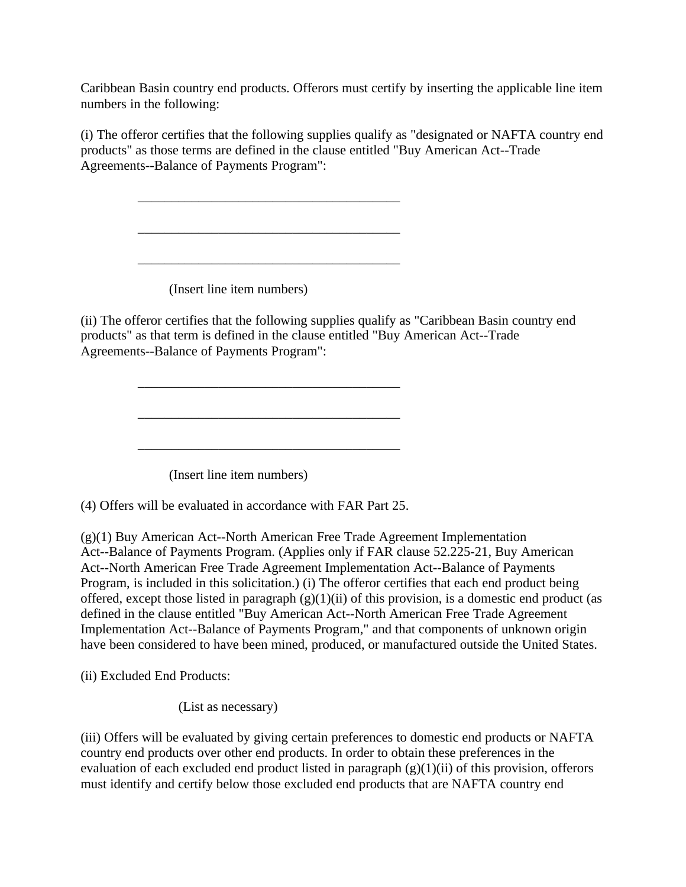Caribbean Basin country end products. Offerors must certify by inserting the applicable line item numbers in the following:

(i) The offeror certifies that the following supplies qualify as "designated or NAFTA country end products" as those terms are defined in the clause entitled "Buy American Act--Trade Agreements--Balance of Payments Program":

(Insert line item numbers)

 $\overline{\phantom{a}}$  ,  $\overline{\phantom{a}}$  ,  $\overline{\phantom{a}}$  ,  $\overline{\phantom{a}}$  ,  $\overline{\phantom{a}}$  ,  $\overline{\phantom{a}}$  ,  $\overline{\phantom{a}}$  ,  $\overline{\phantom{a}}$  ,  $\overline{\phantom{a}}$  ,  $\overline{\phantom{a}}$  ,  $\overline{\phantom{a}}$  ,  $\overline{\phantom{a}}$  ,  $\overline{\phantom{a}}$  ,  $\overline{\phantom{a}}$  ,  $\overline{\phantom{a}}$  ,  $\overline{\phantom{a}}$ 

 $\overline{\phantom{a}}$  ,  $\overline{\phantom{a}}$  ,  $\overline{\phantom{a}}$  ,  $\overline{\phantom{a}}$  ,  $\overline{\phantom{a}}$  ,  $\overline{\phantom{a}}$  ,  $\overline{\phantom{a}}$  ,  $\overline{\phantom{a}}$  ,  $\overline{\phantom{a}}$  ,  $\overline{\phantom{a}}$  ,  $\overline{\phantom{a}}$  ,  $\overline{\phantom{a}}$  ,  $\overline{\phantom{a}}$  ,  $\overline{\phantom{a}}$  ,  $\overline{\phantom{a}}$  ,  $\overline{\phantom{a}}$ 

 $\overline{\phantom{a}}$  ,  $\overline{\phantom{a}}$  ,  $\overline{\phantom{a}}$  ,  $\overline{\phantom{a}}$  ,  $\overline{\phantom{a}}$  ,  $\overline{\phantom{a}}$  ,  $\overline{\phantom{a}}$  ,  $\overline{\phantom{a}}$  ,  $\overline{\phantom{a}}$  ,  $\overline{\phantom{a}}$  ,  $\overline{\phantom{a}}$  ,  $\overline{\phantom{a}}$  ,  $\overline{\phantom{a}}$  ,  $\overline{\phantom{a}}$  ,  $\overline{\phantom{a}}$  ,  $\overline{\phantom{a}}$ 

 $\overline{\phantom{a}}$  ,  $\overline{\phantom{a}}$  ,  $\overline{\phantom{a}}$  ,  $\overline{\phantom{a}}$  ,  $\overline{\phantom{a}}$  ,  $\overline{\phantom{a}}$  ,  $\overline{\phantom{a}}$  ,  $\overline{\phantom{a}}$  ,  $\overline{\phantom{a}}$  ,  $\overline{\phantom{a}}$  ,  $\overline{\phantom{a}}$  ,  $\overline{\phantom{a}}$  ,  $\overline{\phantom{a}}$  ,  $\overline{\phantom{a}}$  ,  $\overline{\phantom{a}}$  ,  $\overline{\phantom{a}}$ 

 $\overline{\phantom{a}}$  ,  $\overline{\phantom{a}}$  ,  $\overline{\phantom{a}}$  ,  $\overline{\phantom{a}}$  ,  $\overline{\phantom{a}}$  ,  $\overline{\phantom{a}}$  ,  $\overline{\phantom{a}}$  ,  $\overline{\phantom{a}}$  ,  $\overline{\phantom{a}}$  ,  $\overline{\phantom{a}}$  ,  $\overline{\phantom{a}}$  ,  $\overline{\phantom{a}}$  ,  $\overline{\phantom{a}}$  ,  $\overline{\phantom{a}}$  ,  $\overline{\phantom{a}}$  ,  $\overline{\phantom{a}}$ 

(ii) The offeror certifies that the following supplies qualify as "Caribbean Basin country end products" as that term is defined in the clause entitled "Buy American Act--Trade Agreements--Balance of Payments Program":

\_\_\_\_\_\_\_\_\_\_\_\_\_\_\_\_\_\_\_\_\_\_\_\_\_\_\_\_\_\_\_\_\_\_\_\_\_\_\_

(Insert line item numbers)

(4) Offers will be evaluated in accordance with FAR Part 25.

(g)(1) Buy American Act--North American Free Trade Agreement Implementation Act--Balance of Payments Program. (Applies only if FAR clause 52.225-21, Buy American Act--North American Free Trade Agreement Implementation Act--Balance of Payments Program, is included in this solicitation.) (i) The offeror certifies that each end product being offered, except those listed in paragraph  $(g)(1)(ii)$  of this provision, is a domestic end product (as defined in the clause entitled "Buy American Act--North American Free Trade Agreement Implementation Act--Balance of Payments Program," and that components of unknown origin have been considered to have been mined, produced, or manufactured outside the United States.

(ii) Excluded End Products:

(List as necessary)

(iii) Offers will be evaluated by giving certain preferences to domestic end products or NAFTA country end products over other end products. In order to obtain these preferences in the evaluation of each excluded end product listed in paragraph (g)(1)(ii) of this provision, offerors must identify and certify below those excluded end products that are NAFTA country end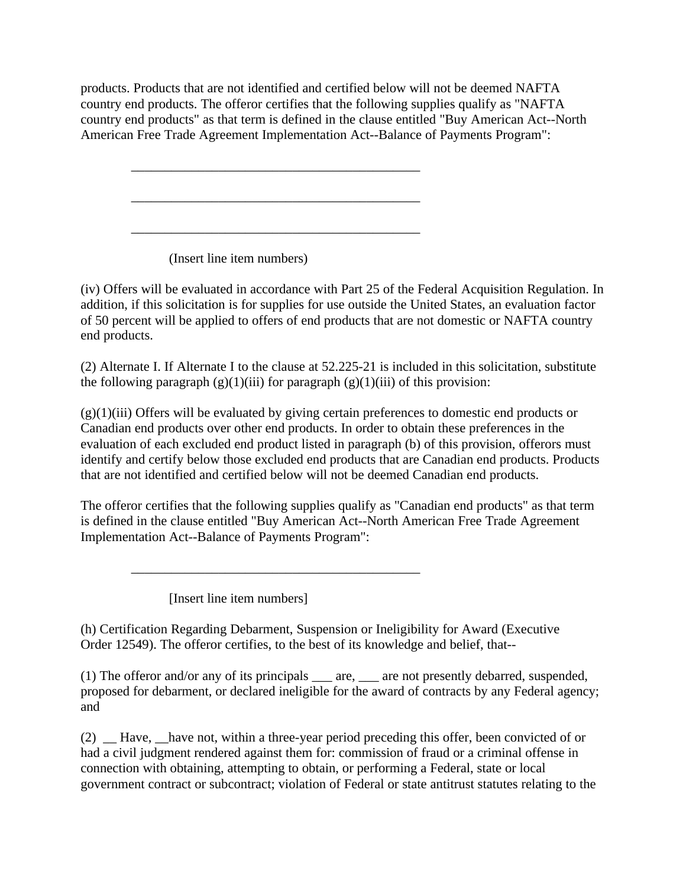products. Products that are not identified and certified below will not be deemed NAFTA country end products. The offeror certifies that the following supplies qualify as "NAFTA country end products" as that term is defined in the clause entitled "Buy American Act--North American Free Trade Agreement Implementation Act--Balance of Payments Program":

\_\_\_\_\_\_\_\_\_\_\_\_\_\_\_\_\_\_\_\_\_\_\_\_\_\_\_\_\_\_\_\_\_\_\_\_\_\_\_\_\_\_\_

(Insert line item numbers)

 $\overline{\phantom{a}}$  ,  $\overline{\phantom{a}}$  ,  $\overline{\phantom{a}}$  ,  $\overline{\phantom{a}}$  ,  $\overline{\phantom{a}}$  ,  $\overline{\phantom{a}}$  ,  $\overline{\phantom{a}}$  ,  $\overline{\phantom{a}}$  ,  $\overline{\phantom{a}}$  ,  $\overline{\phantom{a}}$  ,  $\overline{\phantom{a}}$  ,  $\overline{\phantom{a}}$  ,  $\overline{\phantom{a}}$  ,  $\overline{\phantom{a}}$  ,  $\overline{\phantom{a}}$  ,  $\overline{\phantom{a}}$ 

\_\_\_\_\_\_\_\_\_\_\_\_\_\_\_\_\_\_\_\_\_\_\_\_\_\_\_\_\_\_\_\_\_\_\_\_\_\_\_\_\_\_\_

(iv) Offers will be evaluated in accordance with Part 25 of the Federal Acquisition Regulation. In addition, if this solicitation is for supplies for use outside the United States, an evaluation factor of 50 percent will be applied to offers of end products that are not domestic or NAFTA country end products.

(2) Alternate I. If Alternate I to the clause at 52.225-21 is included in this solicitation, substitute the following paragraph  $(g)(1)(iii)$  for paragraph  $(g)(1)(iii)$  of this provision:

 $(g)(1)(iii)$  Offers will be evaluated by giving certain preferences to domestic end products or Canadian end products over other end products. In order to obtain these preferences in the evaluation of each excluded end product listed in paragraph (b) of this provision, offerors must identify and certify below those excluded end products that are Canadian end products. Products that are not identified and certified below will not be deemed Canadian end products.

The offeror certifies that the following supplies qualify as "Canadian end products" as that term is defined in the clause entitled "Buy American Act--North American Free Trade Agreement Implementation Act--Balance of Payments Program":

[Insert line item numbers]

 $\overline{\phantom{a}}$  ,  $\overline{\phantom{a}}$  ,  $\overline{\phantom{a}}$  ,  $\overline{\phantom{a}}$  ,  $\overline{\phantom{a}}$  ,  $\overline{\phantom{a}}$  ,  $\overline{\phantom{a}}$  ,  $\overline{\phantom{a}}$  ,  $\overline{\phantom{a}}$  ,  $\overline{\phantom{a}}$  ,  $\overline{\phantom{a}}$  ,  $\overline{\phantom{a}}$  ,  $\overline{\phantom{a}}$  ,  $\overline{\phantom{a}}$  ,  $\overline{\phantom{a}}$  ,  $\overline{\phantom{a}}$ 

(h) Certification Regarding Debarment, Suspension or Ineligibility for Award (Executive Order 12549). The offeror certifies, to the best of its knowledge and belief, that--

(1) The offeror and/or any of its principals \_\_\_ are, \_\_\_ are not presently debarred, suspended, proposed for debarment, or declared ineligible for the award of contracts by any Federal agency; and

(2) \_\_ Have, \_\_have not, within a three-year period preceding this offer, been convicted of or had a civil judgment rendered against them for: commission of fraud or a criminal offense in connection with obtaining, attempting to obtain, or performing a Federal, state or local government contract or subcontract; violation of Federal or state antitrust statutes relating to the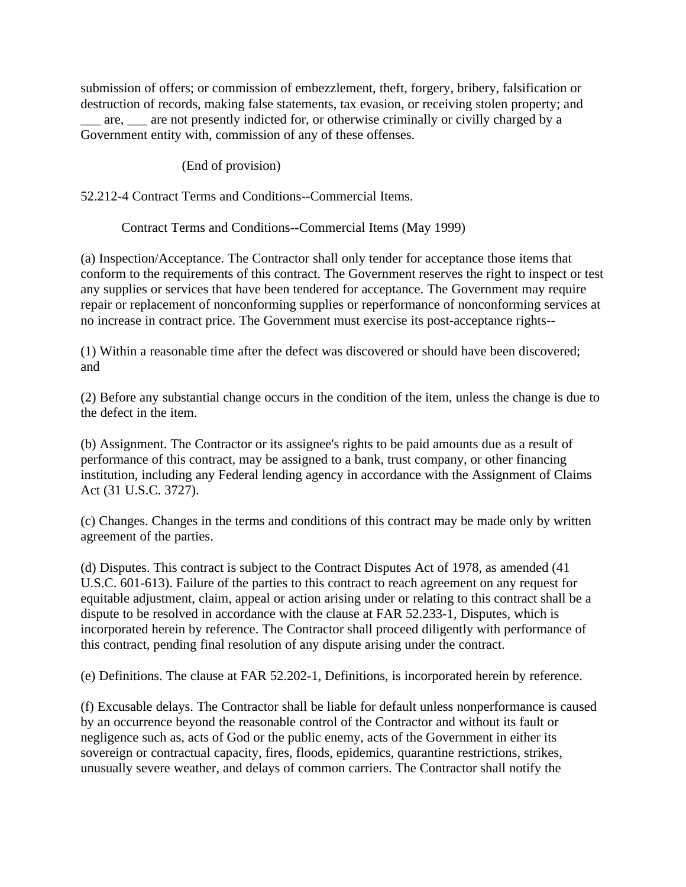submission of offers; or commission of embezzlement, theft, forgery, bribery, falsification or destruction of records, making false statements, tax evasion, or receiving stolen property; and are, are not presently indicted for, or otherwise criminally or civilly charged by a Government entity with, commission of any of these offenses.

(End of provision)

52.212-4 Contract Terms and Conditions--Commercial Items.

Contract Terms and Conditions--Commercial Items (May 1999)

(a) Inspection/Acceptance. The Contractor shall only tender for acceptance those items that conform to the requirements of this contract. The Government reserves the right to inspect or test any supplies or services that have been tendered for acceptance. The Government may require repair or replacement of nonconforming supplies or reperformance of nonconforming services at no increase in contract price. The Government must exercise its post-acceptance rights--

(1) Within a reasonable time after the defect was discovered or should have been discovered; and

(2) Before any substantial change occurs in the condition of the item, unless the change is due to the defect in the item.

(b) Assignment. The Contractor or its assignee's rights to be paid amounts due as a result of performance of this contract, may be assigned to a bank, trust company, or other financing institution, including any Federal lending agency in accordance with the Assignment of Claims Act (31 U.S.C. 3727).

(c) Changes. Changes in the terms and conditions of this contract may be made only by written agreement of the parties.

(d) Disputes. This contract is subject to the Contract Disputes Act of 1978, as amended (41 U.S.C. 601-613). Failure of the parties to this contract to reach agreement on any request for equitable adjustment, claim, appeal or action arising under or relating to this contract shall be a dispute to be resolved in accordance with the clause at FAR 52.233-1, Disputes, which is incorporated herein by reference. The Contractor shall proceed diligently with performance of this contract, pending final resolution of any dispute arising under the contract.

(e) Definitions. The clause at FAR 52.202-1, Definitions, is incorporated herein by reference.

(f) Excusable delays. The Contractor shall be liable for default unless nonperformance is caused by an occurrence beyond the reasonable control of the Contractor and without its fault or negligence such as, acts of God or the public enemy, acts of the Government in either its sovereign or contractual capacity, fires, floods, epidemics, quarantine restrictions, strikes, unusually severe weather, and delays of common carriers. The Contractor shall notify the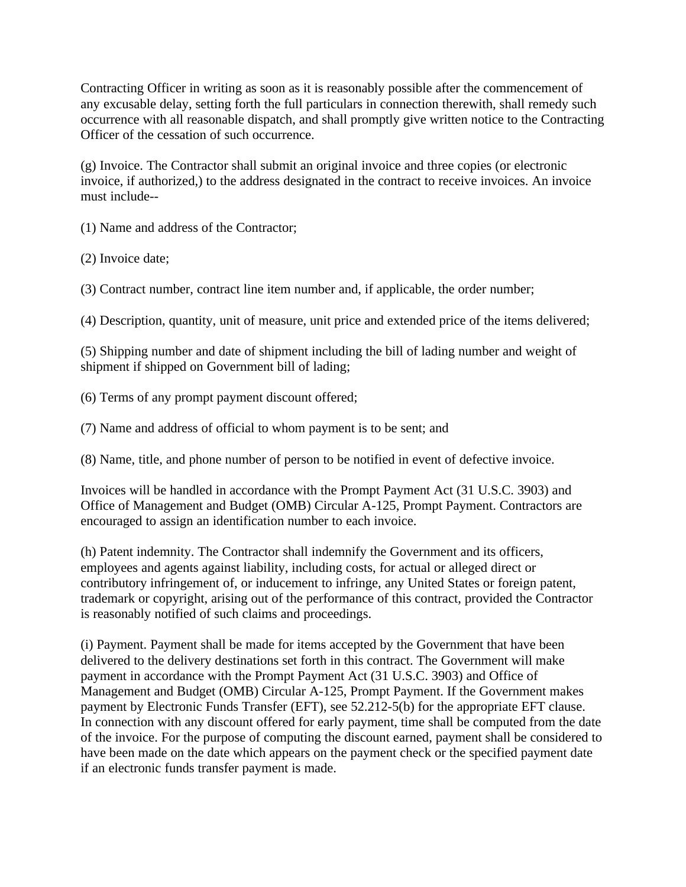Contracting Officer in writing as soon as it is reasonably possible after the commencement of any excusable delay, setting forth the full particulars in connection therewith, shall remedy such occurrence with all reasonable dispatch, and shall promptly give written notice to the Contracting Officer of the cessation of such occurrence.

(g) Invoice. The Contractor shall submit an original invoice and three copies (or electronic invoice, if authorized,) to the address designated in the contract to receive invoices. An invoice must include--

(1) Name and address of the Contractor;

(2) Invoice date;

(3) Contract number, contract line item number and, if applicable, the order number;

(4) Description, quantity, unit of measure, unit price and extended price of the items delivered;

(5) Shipping number and date of shipment including the bill of lading number and weight of shipment if shipped on Government bill of lading;

(6) Terms of any prompt payment discount offered;

(7) Name and address of official to whom payment is to be sent; and

(8) Name, title, and phone number of person to be notified in event of defective invoice.

Invoices will be handled in accordance with the Prompt Payment Act (31 U.S.C. 3903) and Office of Management and Budget (OMB) Circular A-125, Prompt Payment. Contractors are encouraged to assign an identification number to each invoice.

(h) Patent indemnity. The Contractor shall indemnify the Government and its officers, employees and agents against liability, including costs, for actual or alleged direct or contributory infringement of, or inducement to infringe, any United States or foreign patent, trademark or copyright, arising out of the performance of this contract, provided the Contractor is reasonably notified of such claims and proceedings.

(i) Payment. Payment shall be made for items accepted by the Government that have been delivered to the delivery destinations set forth in this contract. The Government will make payment in accordance with the Prompt Payment Act (31 U.S.C. 3903) and Office of Management and Budget (OMB) Circular A-125, Prompt Payment. If the Government makes payment by Electronic Funds Transfer (EFT), see 52.212-5(b) for the appropriate EFT clause. In connection with any discount offered for early payment, time shall be computed from the date of the invoice. For the purpose of computing the discount earned, payment shall be considered to have been made on the date which appears on the payment check or the specified payment date if an electronic funds transfer payment is made.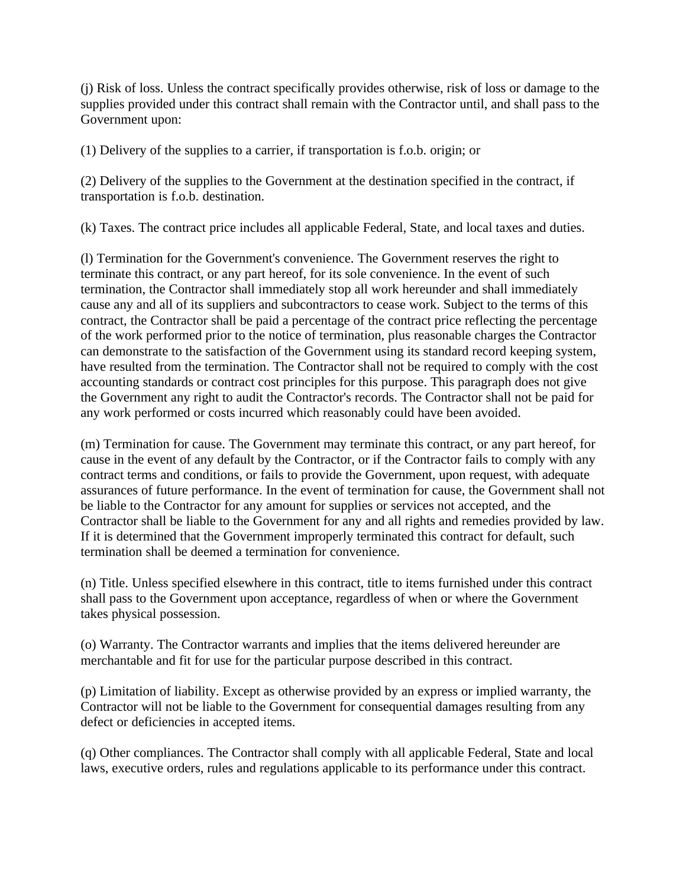(j) Risk of loss. Unless the contract specifically provides otherwise, risk of loss or damage to the supplies provided under this contract shall remain with the Contractor until, and shall pass to the Government upon:

(1) Delivery of the supplies to a carrier, if transportation is f.o.b. origin; or

(2) Delivery of the supplies to the Government at the destination specified in the contract, if transportation is f.o.b. destination.

(k) Taxes. The contract price includes all applicable Federal, State, and local taxes and duties.

(l) Termination for the Government's convenience. The Government reserves the right to terminate this contract, or any part hereof, for its sole convenience. In the event of such termination, the Contractor shall immediately stop all work hereunder and shall immediately cause any and all of its suppliers and subcontractors to cease work. Subject to the terms of this contract, the Contractor shall be paid a percentage of the contract price reflecting the percentage of the work performed prior to the notice of termination, plus reasonable charges the Contractor can demonstrate to the satisfaction of the Government using its standard record keeping system, have resulted from the termination. The Contractor shall not be required to comply with the cost accounting standards or contract cost principles for this purpose. This paragraph does not give the Government any right to audit the Contractor's records. The Contractor shall not be paid for any work performed or costs incurred which reasonably could have been avoided.

(m) Termination for cause. The Government may terminate this contract, or any part hereof, for cause in the event of any default by the Contractor, or if the Contractor fails to comply with any contract terms and conditions, or fails to provide the Government, upon request, with adequate assurances of future performance. In the event of termination for cause, the Government shall not be liable to the Contractor for any amount for supplies or services not accepted, and the Contractor shall be liable to the Government for any and all rights and remedies provided by law. If it is determined that the Government improperly terminated this contract for default, such termination shall be deemed a termination for convenience.

(n) Title. Unless specified elsewhere in this contract, title to items furnished under this contract shall pass to the Government upon acceptance, regardless of when or where the Government takes physical possession.

(o) Warranty. The Contractor warrants and implies that the items delivered hereunder are merchantable and fit for use for the particular purpose described in this contract.

(p) Limitation of liability. Except as otherwise provided by an express or implied warranty, the Contractor will not be liable to the Government for consequential damages resulting from any defect or deficiencies in accepted items.

(q) Other compliances. The Contractor shall comply with all applicable Federal, State and local laws, executive orders, rules and regulations applicable to its performance under this contract.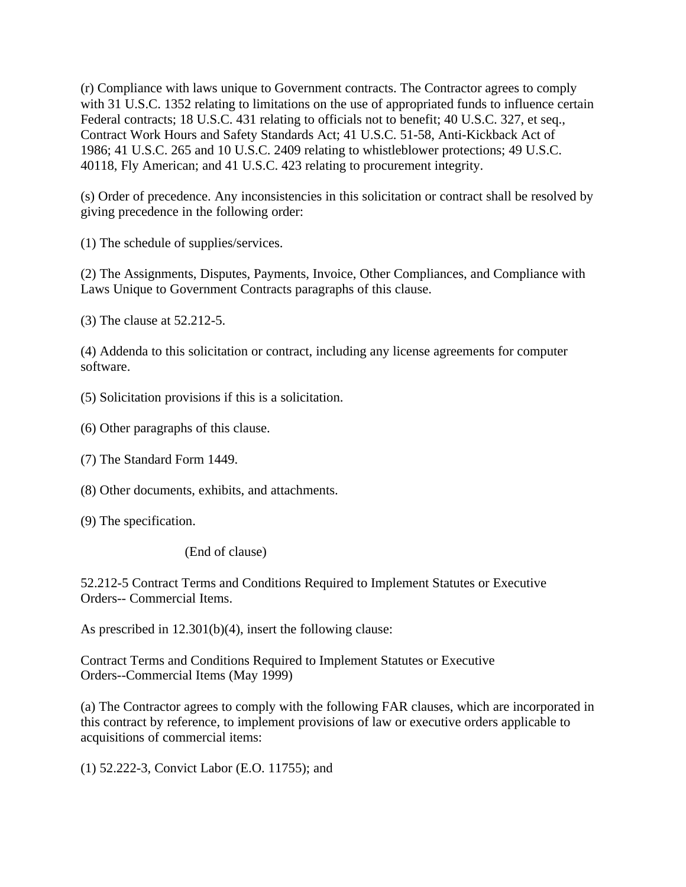(r) Compliance with laws unique to Government contracts. The Contractor agrees to comply with 31 U.S.C. 1352 relating to limitations on the use of appropriated funds to influence certain Federal contracts; 18 U.S.C. 431 relating to officials not to benefit; 40 U.S.C. 327, et seq., Contract Work Hours and Safety Standards Act; 41 U.S.C. 51-58, Anti-Kickback Act of 1986; 41 U.S.C. 265 and 10 U.S.C. 2409 relating to whistleblower protections; 49 U.S.C. 40118, Fly American; and 41 U.S.C. 423 relating to procurement integrity.

(s) Order of precedence. Any inconsistencies in this solicitation or contract shall be resolved by giving precedence in the following order:

(1) The schedule of supplies/services.

(2) The Assignments, Disputes, Payments, Invoice, Other Compliances, and Compliance with Laws Unique to Government Contracts paragraphs of this clause.

(3) The clause at 52.212-5.

(4) Addenda to this solicitation or contract, including any license agreements for computer software.

(5) Solicitation provisions if this is a solicitation.

(6) Other paragraphs of this clause.

(7) The Standard Form 1449.

(8) Other documents, exhibits, and attachments.

(9) The specification.

(End of clause)

52.212-5 Contract Terms and Conditions Required to Implement Statutes or Executive Orders-- Commercial Items.

As prescribed in  $12.301(b)(4)$ , insert the following clause:

Contract Terms and Conditions Required to Implement Statutes or Executive Orders--Commercial Items (May 1999)

(a) The Contractor agrees to comply with the following FAR clauses, which are incorporated in this contract by reference, to implement provisions of law or executive orders applicable to acquisitions of commercial items:

(1) 52.222-3, Convict Labor (E.O. 11755); and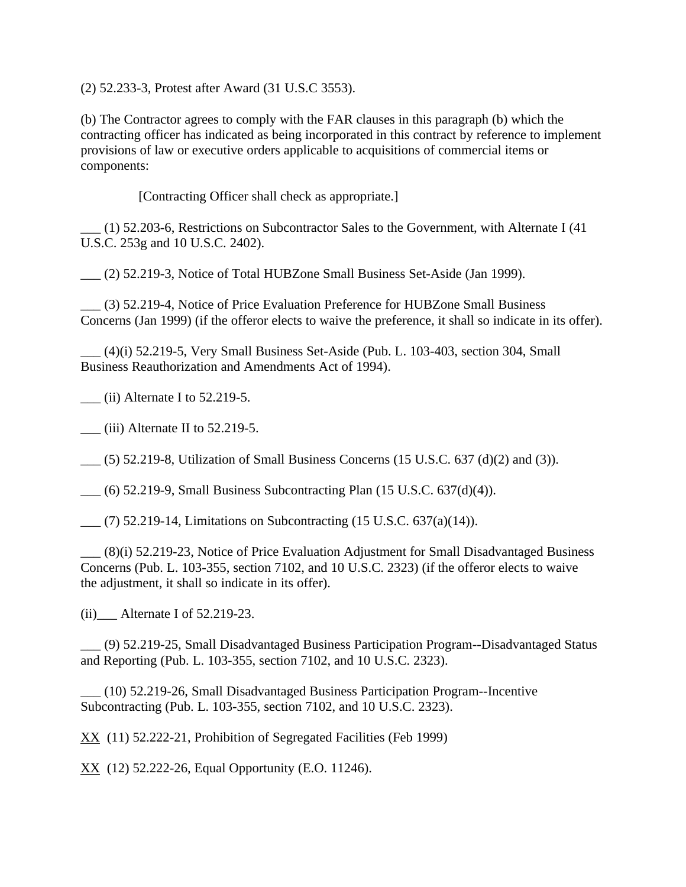(2) 52.233-3, Protest after Award (31 U.S.C 3553).

(b) The Contractor agrees to comply with the FAR clauses in this paragraph (b) which the contracting officer has indicated as being incorporated in this contract by reference to implement provisions of law or executive orders applicable to acquisitions of commercial items or components:

[Contracting Officer shall check as appropriate.]

\_\_\_ (1) 52.203-6, Restrictions on Subcontractor Sales to the Government, with Alternate I (41 U.S.C. 253g and 10 U.S.C. 2402).

\_\_\_ (2) 52.219-3, Notice of Total HUBZone Small Business Set-Aside (Jan 1999).

\_\_\_ (3) 52.219-4, Notice of Price Evaluation Preference for HUBZone Small Business Concerns (Jan 1999) (if the offeror elects to waive the preference, it shall so indicate in its offer).

 $_=(4)(i)$  52.219-5, Very Small Business Set-Aside (Pub. L. 103-403, section 304, Small Business Reauthorization and Amendments Act of 1994).

 $(i)$  Alternate I to 52.219-5.

 $\frac{1}{2}$  (iii) Alternate II to 52.219-5.

 $\Box$  (5) 52.219-8, Utilization of Small Business Concerns (15 U.S.C. 637 (d)(2) and (3)).

 $\qquad$  (6) 52.219-9, Small Business Subcontracting Plan (15 U.S.C. 637(d)(4)).

\_\_\_ (7) 52.219-14, Limitations on Subcontracting (15 U.S.C. 637(a)(14)).

\_\_\_ (8)(i) 52.219-23, Notice of Price Evaluation Adjustment for Small Disadvantaged Business Concerns (Pub. L. 103-355, section 7102, and 10 U.S.C. 2323) (if the offeror elects to waive the adjustment, it shall so indicate in its offer).

(ii) Alternate I of  $52.219-23$ .

\_\_\_ (9) 52.219-25, Small Disadvantaged Business Participation Program--Disadvantaged Status and Reporting (Pub. L. 103-355, section 7102, and 10 U.S.C. 2323).

\_\_\_ (10) 52.219-26, Small Disadvantaged Business Participation Program--Incentive Subcontracting (Pub. L. 103-355, section 7102, and 10 U.S.C. 2323).

XX (11) 52.222-21, Prohibition of Segregated Facilities (Feb 1999)

XX (12) 52.222-26, Equal Opportunity (E.O. 11246).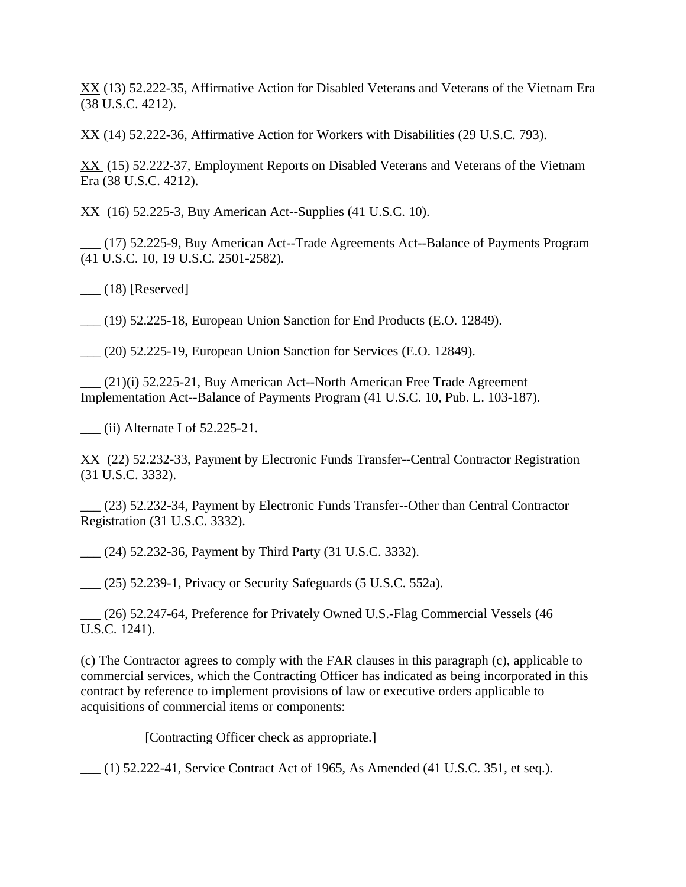XX (13) 52.222-35, Affirmative Action for Disabled Veterans and Veterans of the Vietnam Era (38 U.S.C. 4212).

XX (14) 52.222-36, Affirmative Action for Workers with Disabilities (29 U.S.C. 793).

XX (15) 52.222-37, Employment Reports on Disabled Veterans and Veterans of the Vietnam Era (38 U.S.C. 4212).

XX (16) 52.225-3, Buy American Act--Supplies (41 U.S.C. 10).

\_\_\_ (17) 52.225-9, Buy American Act--Trade Agreements Act--Balance of Payments Program (41 U.S.C. 10, 19 U.S.C. 2501-2582).

 $\_\_$ (18) [Reserved]

\_\_\_ (19) 52.225-18, European Union Sanction for End Products (E.O. 12849).

\_\_\_ (20) 52.225-19, European Union Sanction for Services (E.O. 12849).

\_\_\_ (21)(i) 52.225-21, Buy American Act--North American Free Trade Agreement Implementation Act--Balance of Payments Program (41 U.S.C. 10, Pub. L. 103-187).

\_\_\_ (ii) Alternate I of 52.225-21.

XX (22) 52.232-33, Payment by Electronic Funds Transfer--Central Contractor Registration (31 U.S.C. 3332).

\_\_\_ (23) 52.232-34, Payment by Electronic Funds Transfer--Other than Central Contractor Registration (31 U.S.C. 3332).

\_\_\_ (24) 52.232-36, Payment by Third Party (31 U.S.C. 3332).

\_\_\_ (25) 52.239-1, Privacy or Security Safeguards (5 U.S.C. 552a).

\_\_\_ (26) 52.247-64, Preference for Privately Owned U.S.-Flag Commercial Vessels (46 U.S.C. 1241).

(c) The Contractor agrees to comply with the FAR clauses in this paragraph (c), applicable to commercial services, which the Contracting Officer has indicated as being incorporated in this contract by reference to implement provisions of law or executive orders applicable to acquisitions of commercial items or components:

[Contracting Officer check as appropriate.]

\_\_\_ (1) 52.222-41, Service Contract Act of 1965, As Amended (41 U.S.C. 351, et seq.).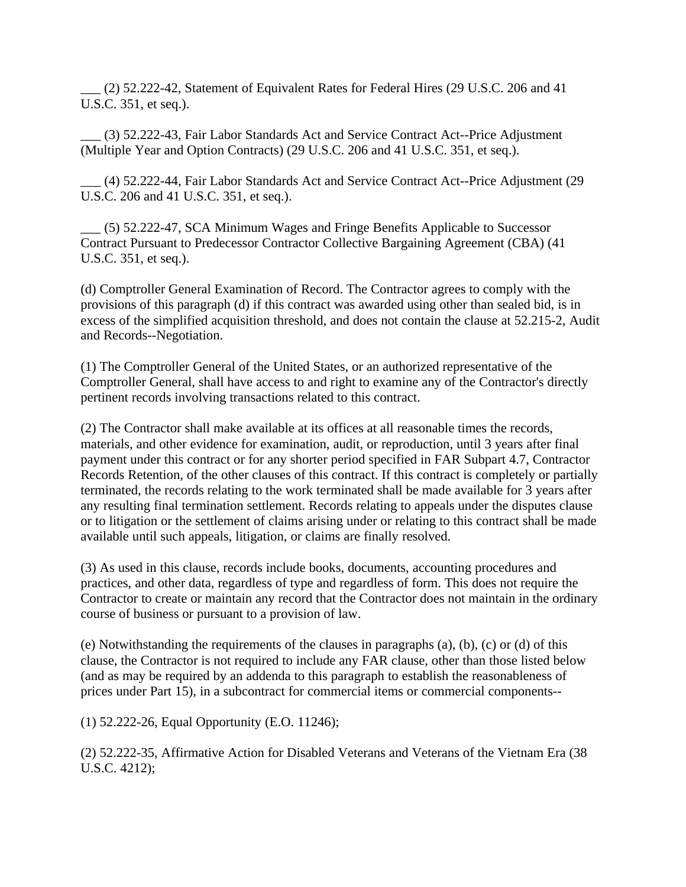\_\_\_ (2) 52.222-42, Statement of Equivalent Rates for Federal Hires (29 U.S.C. 206 and 41 U.S.C. 351, et seq.).

\_\_\_ (3) 52.222-43, Fair Labor Standards Act and Service Contract Act--Price Adjustment (Multiple Year and Option Contracts) (29 U.S.C. 206 and 41 U.S.C. 351, et seq.).

\_\_\_ (4) 52.222-44, Fair Labor Standards Act and Service Contract Act--Price Adjustment (29 U.S.C. 206 and 41 U.S.C. 351, et seq.).

\_\_\_ (5) 52.222-47, SCA Minimum Wages and Fringe Benefits Applicable to Successor Contract Pursuant to Predecessor Contractor Collective Bargaining Agreement (CBA) (41 U.S.C. 351, et seq.).

(d) Comptroller General Examination of Record. The Contractor agrees to comply with the provisions of this paragraph (d) if this contract was awarded using other than sealed bid, is in excess of the simplified acquisition threshold, and does not contain the clause at 52.215-2, Audit and Records--Negotiation.

(1) The Comptroller General of the United States, or an authorized representative of the Comptroller General, shall have access to and right to examine any of the Contractor's directly pertinent records involving transactions related to this contract.

(2) The Contractor shall make available at its offices at all reasonable times the records, materials, and other evidence for examination, audit, or reproduction, until 3 years after final payment under this contract or for any shorter period specified in FAR Subpart 4.7, Contractor Records Retention, of the other clauses of this contract. If this contract is completely or partially terminated, the records relating to the work terminated shall be made available for 3 years after any resulting final termination settlement. Records relating to appeals under the disputes clause or to litigation or the settlement of claims arising under or relating to this contract shall be made available until such appeals, litigation, or claims are finally resolved.

(3) As used in this clause, records include books, documents, accounting procedures and practices, and other data, regardless of type and regardless of form. This does not require the Contractor to create or maintain any record that the Contractor does not maintain in the ordinary course of business or pursuant to a provision of law.

(e) Notwithstanding the requirements of the clauses in paragraphs (a), (b), (c) or (d) of this clause, the Contractor is not required to include any FAR clause, other than those listed below (and as may be required by an addenda to this paragraph to establish the reasonableness of prices under Part 15), in a subcontract for commercial items or commercial components--

(1) 52.222-26, Equal Opportunity (E.O. 11246);

(2) 52.222-35, Affirmative Action for Disabled Veterans and Veterans of the Vietnam Era (38 U.S.C. 4212);